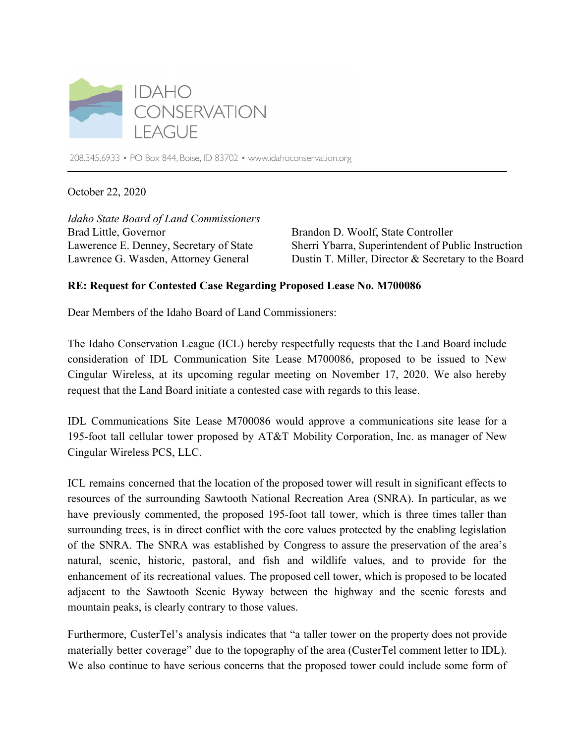

208.345.6933 • PO Box 844, Boise, ID 83702 • www.idahoconservation.org

October 22, 2020

*Idaho State Board of Land Commissioners* Brad Little, Governor Lawerence E. Denney, Secretary of State Lawrence G. Wasden, Attorney General

Brandon D. Woolf, State Controller Sherri Ybarra, Superintendent of Public Instruction Dustin T. Miller, Director & Secretary to the Board

## **RE: Request for Contested Case Regarding Proposed Lease No. M700086**

Dear Members of the Idaho Board of Land Commissioners:

The Idaho Conservation League (ICL) hereby respectfully requests that the Land Board include consideration of IDL Communication Site Lease M700086, proposed to be issued to New Cingular Wireless, at its upcoming regular meeting on November 17, 2020. We also hereby request that the Land Board initiate a contested case with regards to this lease.

IDL Communications Site Lease M700086 would approve a communications site lease for a 195-foot tall cellular tower proposed by AT&T Mobility Corporation, Inc. as manager of New Cingular Wireless PCS, LLC.

ICL remains concerned that the location of the proposed tower will result in significant effects to resources of the surrounding Sawtooth National Recreation Area (SNRA). In particular, as we have previously commented, the proposed 195-foot tall tower, which is three times taller than surrounding trees, is in direct conflict with the core values protected by the enabling legislation of the SNRA. The SNRA was established by Congress to assure the preservation of the area's natural, scenic, historic, pastoral, and fish and wildlife values, and to provide for the enhancement of its recreational values. The proposed cell tower, which is proposed to be located adjacent to the Sawtooth Scenic Byway between the highway and the scenic forests and mountain peaks, is clearly contrary to those values.

Furthermore, CusterTel's analysis indicates that "a taller tower on the property does not provide materially better coverage" due to the topography of the area (CusterTel comment letter to IDL). We also continue to have serious concerns that the proposed tower could include some form of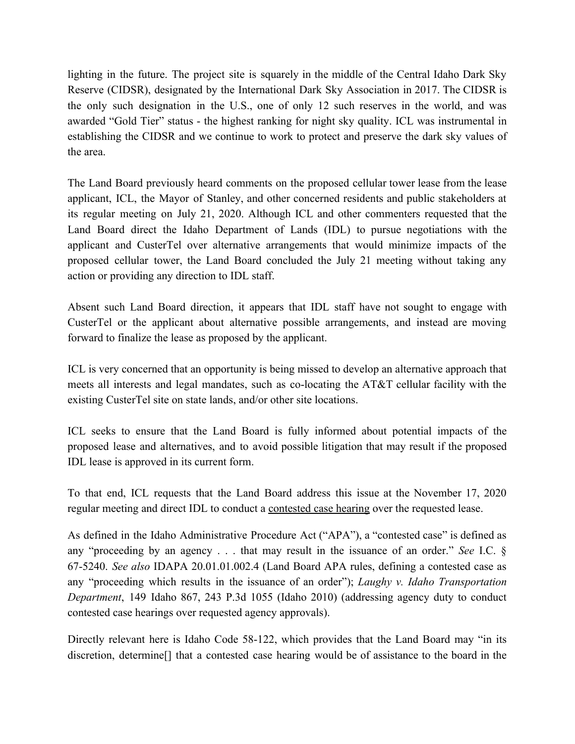lighting in the future. The project site is squarely in the middle of the Central Idaho Dark Sky Reserve (CIDSR), designated by the International Dark Sky Association in 2017. The CIDSR is the only such designation in the U.S., one of only 12 such reserves in the world, and was awarded "Gold Tier" status - the highest ranking for night sky quality. ICL was instrumental in establishing the CIDSR and we continue to work to protect and preserve the dark sky values of the area.

The Land Board previously heard comments on the proposed cellular tower lease from the lease applicant, ICL, the Mayor of Stanley, and other concerned residents and public stakeholders at its regular meeting on July 21, 2020. Although ICL and other commenters requested that the Land Board direct the Idaho Department of Lands (IDL) to pursue negotiations with the applicant and CusterTel over alternative arrangements that would minimize impacts of the proposed cellular tower, the Land Board concluded the July 21 meeting without taking any action or providing any direction to IDL staff.

Absent such Land Board direction, it appears that IDL staff have not sought to engage with CusterTel or the applicant about alternative possible arrangements, and instead are moving forward to finalize the lease as proposed by the applicant.

ICL is very concerned that an opportunity is being missed to develop an alternative approach that meets all interests and legal mandates, such as co-locating the AT&T cellular facility with the existing CusterTel site on state lands, and/or other site locations.

ICL seeks to ensure that the Land Board is fully informed about potential impacts of the proposed lease and alternatives, and to avoid possible litigation that may result if the proposed IDL lease is approved in its current form.

To that end, ICL requests that the Land Board address this issue at the November 17, 2020 regular meeting and direct IDL to conduct a contested case hearing over the requested lease.

As defined in the Idaho Administrative Procedure Act ("APA"), a "contested case" is defined as any "proceeding by an agency . . . that may result in the issuance of an order." *See* I.C. § 67-5240. *See also* IDAPA 20.01.01.002.4 (Land Board APA rules, defining a contested case as any "proceeding which results in the issuance of an order"); *Laughy v. Idaho Transportation Department*, 149 Idaho 867, 243 P.3d 1055 (Idaho 2010) (addressing agency duty to conduct contested case hearings over requested agency approvals).

Directly relevant here is Idaho Code 58-122, which provides that the Land Board may "in its discretion, determine[] that a contested case hearing would be of assistance to the board in the